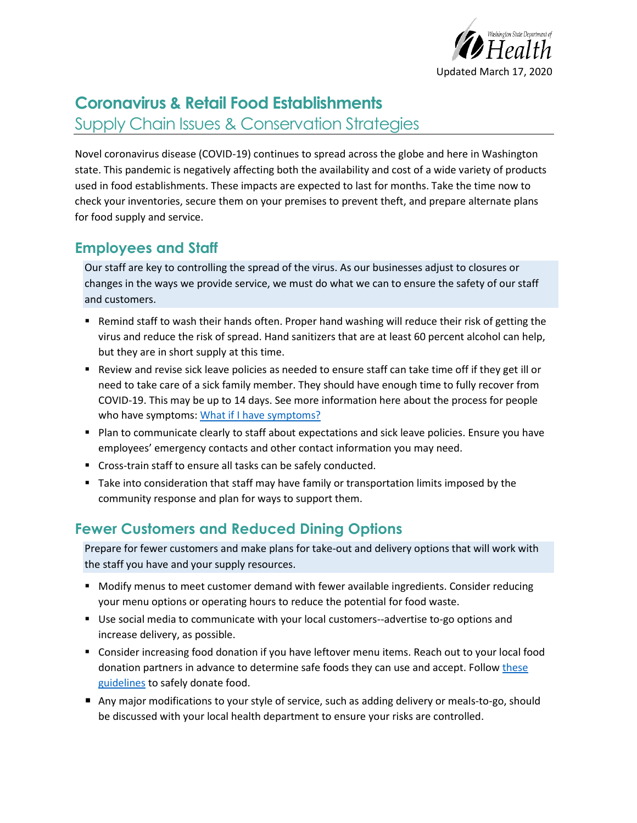

# **Coronavirus & Retail Food Establishments** Supply Chain Issues & Conservation Strategies

Novel coronavirus disease (COVID-19) continues to spread across the globe and here in Washington state. This pandemic is negatively affecting both the availability and cost of a wide variety of products used in food establishments. These impacts are expected to last for months. Take the time now to check your inventories, secure them on your premises to prevent theft, and prepare alternate plans for food supply and service.

### **Employees and Staff**

Our staff are key to controlling the spread of the virus. As our businesses adjust to closures or changes in the ways we provide service, we must do what we can to ensure the safety of our staff and customers.

- Remind staff to wash their hands often. Proper hand washing will reduce their risk of getting the virus and reduce the risk of spread. Hand sanitizers that are at least 60 percent alcohol can help, but they are in short supply at this time.
- Review and revise sick leave policies as needed to ensure staff can take time off if they get ill or need to take care of a sick family member. They should have enough time to fully recover from COVID-19. This may be up to 14 days. See more information here about the process for people who have symptoms: [What if I have symptoms?](https://www.doh.wa.gov/Emergencies/NovelCoronavirusOutbreak2020/FrequentlyAskedQuestions#what-if-i-have-symptoms)
- Plan to communicate clearly to staff about expectations and sick leave policies. Ensure you have employees' emergency contacts and other contact information you may need.
- Cross-train staff to ensure all tasks can be safely conducted.
- Take into consideration that staff may have family or transportation limits imposed by the community response and plan for ways to support them.

## **Fewer Customers and Reduced Dining Options**

Prepare for fewer customers and make plans for take-out and delivery options that will work with the staff you have and your supply resources.

- Modify menus to meet customer demand with fewer available ingredients. Consider reducing your menu options or operating hours to reduce the potential for food waste.
- Use social media to communicate with your local customers--advertise to-go options and increase delivery, as possible.
- Consider increasing food donation if you have leftover menu items. Reach out to your local food donation partners in advance to determine safe foods they can use and accept. Follow these [guidelines](https://www.doh.wa.gov/Portals/1/Documents/Pubs/333-241.pdf) to safely donate food.
- Any major modifications to your style of service, such as adding delivery or meals-to-go, should be discussed with your local health department to ensure your risks are controlled.